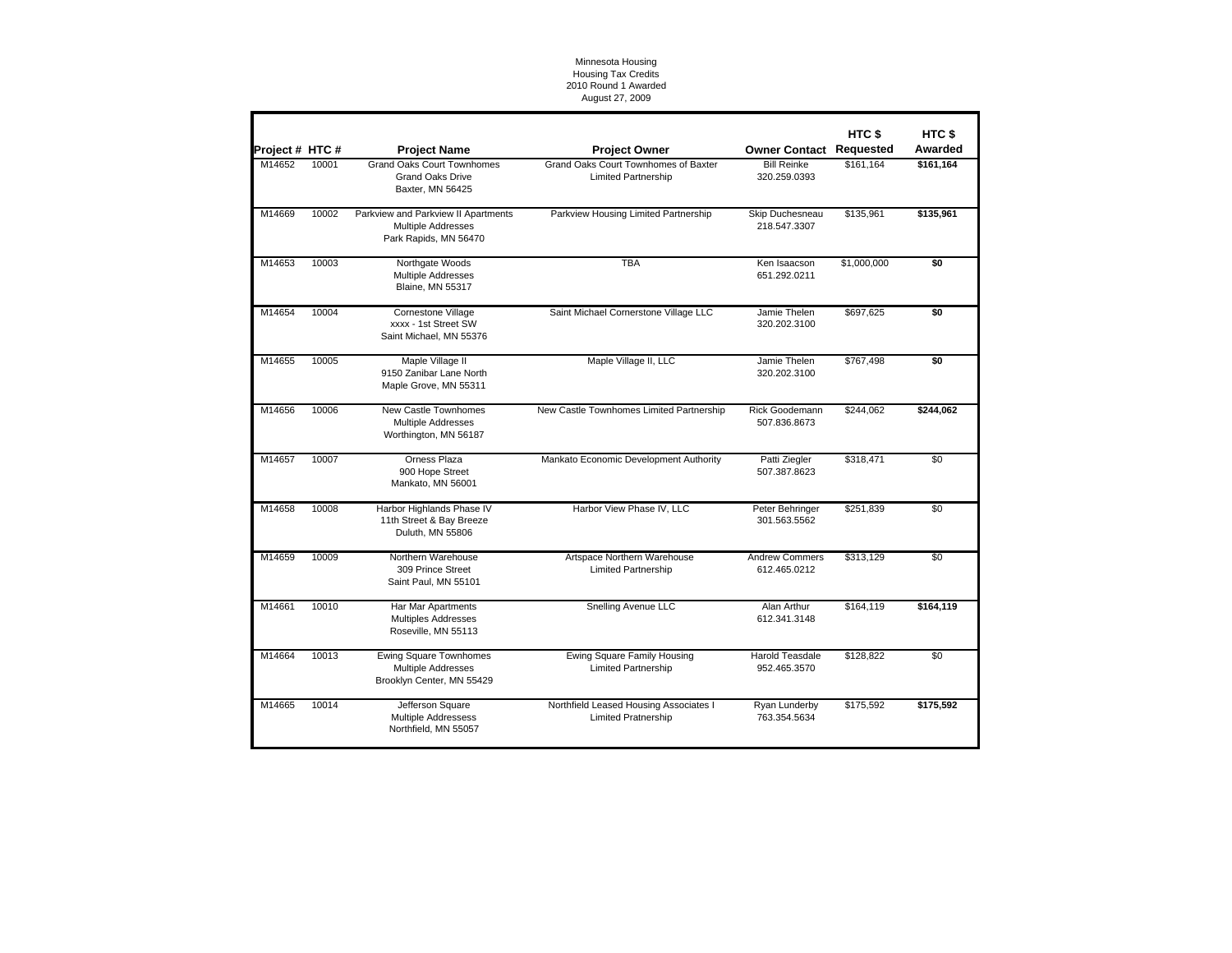## Minnesota Housing Housing Tax Credits 2010 Round 1 Awarded August 27, 2009

| Project # HTC # |       | <b>Project Name</b>                                                                     | <b>Project Owner</b>                                                 | <b>Owner Contact Requested</b>         | HTC <sub>\$</sub> | HTC <sub>\$</sub><br>Awarded |
|-----------------|-------|-----------------------------------------------------------------------------------------|----------------------------------------------------------------------|----------------------------------------|-------------------|------------------------------|
| M14652          | 10001 | <b>Grand Oaks Court Townhomes</b><br><b>Grand Oaks Drive</b><br>Baxter, MN 56425        | Grand Oaks Court Townhomes of Baxter<br><b>Limited Partnership</b>   | <b>Bill Reinke</b><br>320.259.0393     | \$161.164         | \$161,164                    |
| M14669          | 10002 | Parkview and Parkview II Apartments<br>Multiple Addresses<br>Park Rapids, MN 56470      | Parkview Housing Limited Partnership                                 | Skip Duchesneau<br>218.547.3307        | \$135,961         | \$135,961                    |
| M14653          | 10003 | Northgate Woods<br>Multiple Addresses<br><b>Blaine, MN 55317</b>                        | <b>TBA</b>                                                           | Ken Isaacson<br>651.292.0211           | \$1,000,000       | \$0                          |
| M14654          | 10004 | Cornestone Village<br>xxxx - 1st Street SW<br>Saint Michael. MN 55376                   | Saint Michael Cornerstone Village LLC                                | Jamie Thelen<br>320.202.3100           | \$697,625         | \$0                          |
| M14655          | 10005 | Maple Village II<br>9150 Zanibar Lane North<br>Maple Grove, MN 55311                    | Maple Village II, LLC                                                | Jamie Thelen<br>320.202.3100           | \$767,498         | \$0                          |
| M14656          | 10006 | New Castle Townhomes<br><b>Multiple Addresses</b><br>Worthington, MN 56187              | New Castle Townhomes Limited Partnership                             | Rick Goodemann<br>507.836.8673         | \$244,062         | \$244,062                    |
| M14657          | 10007 | Orness Plaza<br>900 Hope Street<br>Mankato, MN 56001                                    | Mankato Economic Development Authority                               | Patti Ziegler<br>507.387.8623          | \$318,471         | \$0                          |
| M14658          | 10008 | Harbor Highlands Phase IV<br>11th Street & Bay Breeze<br>Duluth, MN 55806               | Harbor View Phase IV, LLC                                            | Peter Behringer<br>301.563.5562        | \$251,839         | \$0                          |
| M14659          | 10009 | Northern Warehouse<br>309 Prince Street<br>Saint Paul, MN 55101                         | Artspace Northern Warehouse<br><b>Limited Partnership</b>            | <b>Andrew Commers</b><br>612.465.0212  | \$313,129         | \$0                          |
| M14661          | 10010 | Har Mar Apartments<br><b>Multiples Addresses</b><br>Roseville, MN 55113                 | Snelling Avenue LLC                                                  | Alan Arthur<br>612.341.3148            | \$164.119         | \$164,119                    |
| M14664          | 10013 | <b>Ewing Square Townhomes</b><br><b>Multiple Addresses</b><br>Brooklyn Center, MN 55429 | <b>Ewing Square Family Housing</b><br><b>Limited Partnership</b>     | <b>Harold Teasdale</b><br>952.465.3570 | \$128,822         | \$0                          |
| M14665          | 10014 | Jefferson Square<br>Multiple Addressess<br>Northfield, MN 55057                         | Northfield Leased Housing Associates I<br><b>Limited Pratnership</b> | Ryan Lunderby<br>763.354.5634          | \$175,592         | \$175,592                    |